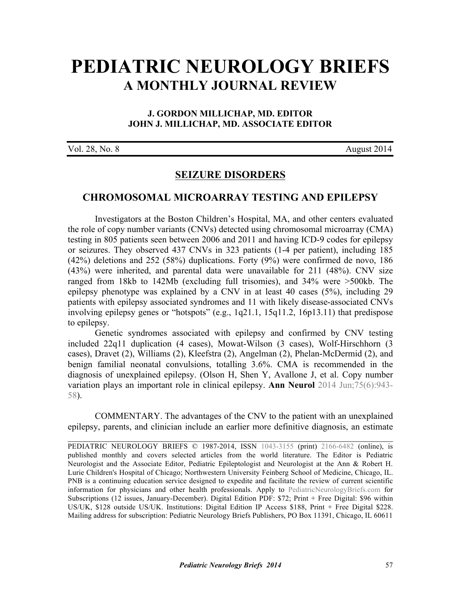# **[PEDIATRIC NEUROLOGY BRIEFS](http://www.pediatricneurologybriefs.com/) A MONTHLY JOURNAL REVIEW**

## **J. GORDON MILLICHAP, MD. EDITOR JOHN J. MILLICHAP, MD. ASSOCIATE EDITOR**

| Vol. 28, No. 8 |  |  |  |
|----------------|--|--|--|
|----------------|--|--|--|

August 2014

# **SEIZURE DISORDERS**

### **CHROMOSOMAL MICROARRAY TESTING AND EPILEPSY**

Investigators at the Boston Children's Hospital, MA, and other centers evaluated the role of copy number variants (CNVs) detected using chromosomal microarray (CMA) testing in 805 patients seen between 2006 and 2011 and having ICD-9 codes for epilepsy or seizures. They observed 437 CNVs in 323 patients (1-4 per patient), including 185 (42%) deletions and 252 (58%) duplications. Forty (9%) were confirmed de novo, 186 (43%) were inherited, and parental data were unavailable for 211 (48%). CNV size ranged from 18kb to 142Mb (excluding full trisomies), and 34% were >500kb. The epilepsy phenotype was explained by a CNV in at least 40 cases (5%), including 29 patients with epilepsy associated syndromes and 11 with likely disease-associated CNVs involving epilepsy genes or "hotspots" (e.g., 1q21.1, 15q11.2, 16p13.11) that predispose to epilepsy.

Genetic syndromes associated with epilepsy and confirmed by CNV testing included 22q11 duplication (4 cases), Mowat-Wilson (3 cases), Wolf-Hirschhorn (3 cases), Dravet (2), Williams (2), Kleefstra (2), Angelman (2), Phelan-McDermid (2), and benign familial neonatal convulsions, totalling 3.6%. CMA is recommended in the [diagnosis of unexplained epilepsy. \(Olson H, Shen Y, Avallone J, et al. Copy number](http://dx.doi.org/10.1002/ana.24178) variation plays an important role in clinical epilepsy. **Ann Neurol** 2014 Jun;75(6):943- 58).

COMMENTARY. The advantages of the CNV to the patient with an unexplained epilepsy, parents, and clinician include an earlier more definitive diagnosis, an estimate

 $\mathcal{L}_\text{G} = \{ \mathcal{L}_\text{G} = \{ \mathcal{L}_\text{G} = \{ \mathcal{L}_\text{G} = \{ \mathcal{L}_\text{G} = \{ \mathcal{L}_\text{G} = \{ \mathcal{L}_\text{G} = \{ \mathcal{L}_\text{G} = \{ \mathcal{L}_\text{G} = \{ \mathcal{L}_\text{G} = \{ \mathcal{L}_\text{G} = \{ \mathcal{L}_\text{G} = \{ \mathcal{L}_\text{G} = \{ \mathcal{L}_\text{G} = \{ \mathcal{L}_\text{G} = \{ \mathcal{L}_\text{G$ 

PEDIATRIC NEUROLOGY BRIEFS © 1987-2014, ISSN [1043-3155](http://www.worldcat.org/oclc/19417722) (print) [2166-6482](http://www.worldcat.org/oclc/781441925) (online), is published monthly and covers selected articles from the world literature. The Editor is Pediatric Neurologist and the Associate Editor, Pediatric Epileptologist and Neurologist at the Ann & Robert H. Lurie Children's Hospital of Chicago; Northwestern University Feinberg School of Medicine, Chicago, IL. PNB is a continuing education service designed to expedite and facilitate the review of current scientific information for physicians and other health professionals. Apply to [PediatricNeurologyBriefs.com](http://www.pediatricneurologybriefs.com/subscribe.html) for Subscriptions (12 issues, January-December). Digital Edition PDF: \$72; Print + Free Digital: \$96 within US/UK, \$128 outside US/UK. Institutions: Digital Edition IP Access \$188, Print + Free Digital \$228. Mailing address for subscription: Pediatric Neurology Briefs Publishers, PO Box 11391, Chicago, IL 60611